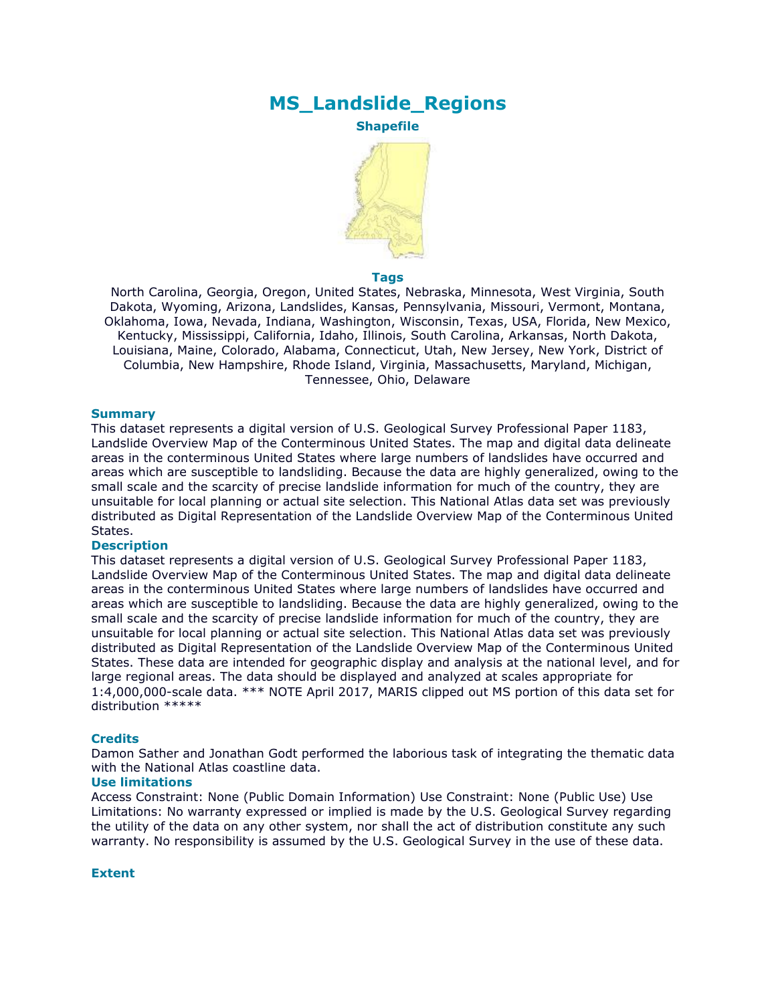# **MS\_Landslide\_Regions**

**Shapefile**



### **Tags**

North Carolina, Georgia, Oregon, United States, Nebraska, Minnesota, West Virginia, South Dakota, Wyoming, Arizona, Landslides, Kansas, Pennsylvania, Missouri, Vermont, Montana, Oklahoma, Iowa, Nevada, Indiana, Washington, Wisconsin, Texas, USA, Florida, New Mexico, Kentucky, Mississippi, California, Idaho, Illinois, South Carolina, Arkansas, North Dakota, Louisiana, Maine, Colorado, Alabama, Connecticut, Utah, New Jersey, New York, District of Columbia, New Hampshire, Rhode Island, Virginia, Massachusetts, Maryland, Michigan, Tennessee, Ohio, Delaware

### **Summary**

This dataset represents a digital version of U.S. Geological Survey Professional Paper 1183, Landslide Overview Map of the Conterminous United States. The map and digital data delineate areas in the conterminous United States where large numbers of landslides have occurred and areas which are susceptible to landsliding. Because the data are highly generalized, owing to the small scale and the scarcity of precise landslide information for much of the country, they are unsuitable for local planning or actual site selection. This National Atlas data set was previously distributed as Digital Representation of the Landslide Overview Map of the Conterminous United States.

### **Description**

This dataset represents a digital version of U.S. Geological Survey Professional Paper 1183, Landslide Overview Map of the Conterminous United States. The map and digital data delineate areas in the conterminous United States where large numbers of landslides have occurred and areas which are susceptible to landsliding. Because the data are highly generalized, owing to the small scale and the scarcity of precise landslide information for much of the country, they are unsuitable for local planning or actual site selection. This National Atlas data set was previously distributed as Digital Representation of the Landslide Overview Map of the Conterminous United States. These data are intended for geographic display and analysis at the national level, and for large regional areas. The data should be displayed and analyzed at scales appropriate for 1:4,000,000-scale data. \*\*\* NOTE April 2017, MARIS clipped out MS portion of this data set for distribution \*\*\*\*\*

### **Credits**

Damon Sather and Jonathan Godt performed the laborious task of integrating the thematic data with the National Atlas coastline data.

### **Use limitations**

Access Constraint: None (Public Domain Information) Use Constraint: None (Public Use) Use Limitations: No warranty expressed or implied is made by the U.S. Geological Survey regarding the utility of the data on any other system, nor shall the act of distribution constitute any such warranty. No responsibility is assumed by the U.S. Geological Survey in the use of these data.

### **Extent**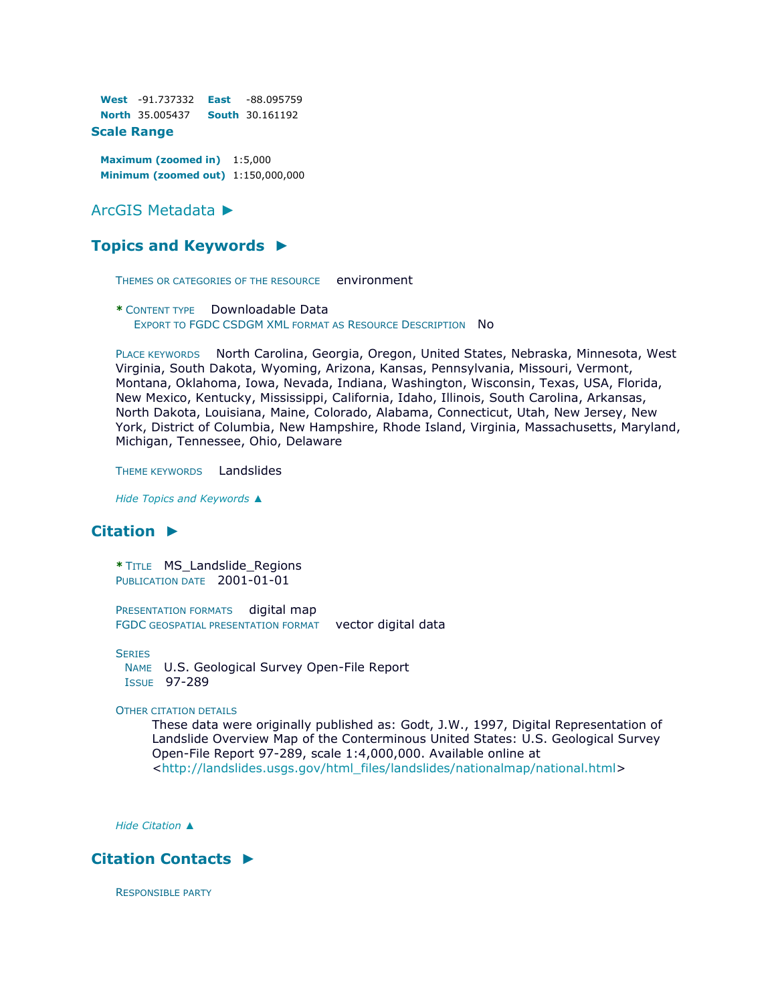**West** -91.737332 **East** -88.095759 **North** 35.005437 **South** 30.161192

## **Scale Range**

**Maximum (zoomed in)** 1:5,000 **Minimum (zoomed out)** 1:150,000,000

### [ArcGIS Metadata](file:///C:/Users/swalker.IHL/AppData/Local/Temp/tmp1178.tmp.htm%23arcgisMetadata) ►

### **[Topics and Keywords](file:///C:/Users/swalker.IHL/AppData/Local/Temp/tmp1178.tmp.htm%23true) ►**

THEMES OR CATEGORIES OF THE RESOURCE environment

**\*** CONTENT TYPE Downloadable Data EXPORT TO FGDC CSDGM XML FORMAT AS RESOURCE DESCRIPTION NO

PLACE KEYWORDS North Carolina, Georgia, Oregon, United States, Nebraska, Minnesota, West Virginia, South Dakota, Wyoming, Arizona, Kansas, Pennsylvania, Missouri, Vermont, Montana, Oklahoma, Iowa, Nevada, Indiana, Washington, Wisconsin, Texas, USA, Florida, New Mexico, Kentucky, Mississippi, California, Idaho, Illinois, South Carolina, Arkansas, North Dakota, Louisiana, Maine, Colorado, Alabama, Connecticut, Utah, New Jersey, New York, District of Columbia, New Hampshire, Rhode Island, Virginia, Massachusetts, Maryland, Michigan, Tennessee, Ohio, Delaware

THEME KEYWORDS Landslides

*Hide [Topics and Keywords](file:///C:/Users/swalker.IHL/AppData/Local/Temp/tmp1178.tmp.htm%23true) ▲*

## **[Citation](file:///C:/Users/swalker.IHL/AppData/Local/Temp/tmp1178.tmp.htm%23ID0ETGA) ►**

**\*** TITLE MS\_Landslide\_Regions PUBLICATION DATE 2001-01-01

PRESENTATION FORMATS digital map FGDC GEOSPATIAL PRESENTATION FORMAT vector digital data

**SERIES** 

NAME U.S. Geological Survey Open-File Report ISSUE 97-289

OTHER CITATION DETAILS

These data were originally published as: Godt, J.W., 1997, Digital Representation of Landslide Overview Map of the Conterminous United States: U.S. Geological Survey Open-File Report 97-289, scale 1:4,000,000. Available online at [<http://landslides.usgs.gov/html\\_files/landslides/nationalmap/national.html>](http://landslides.usgs.gov/html_files/landslides/nationalmap/national.html)

*Hide [Citation](file:///C:/Users/swalker.IHL/AppData/Local/Temp/tmp1178.tmp.htm%23ID0ETGA) ▲*

## **[Citation Contacts](file:///C:/Users/swalker.IHL/AppData/Local/Temp/tmp1178.tmp.htm%23ID0EETGA) ►**

RESPONSIBLE PARTY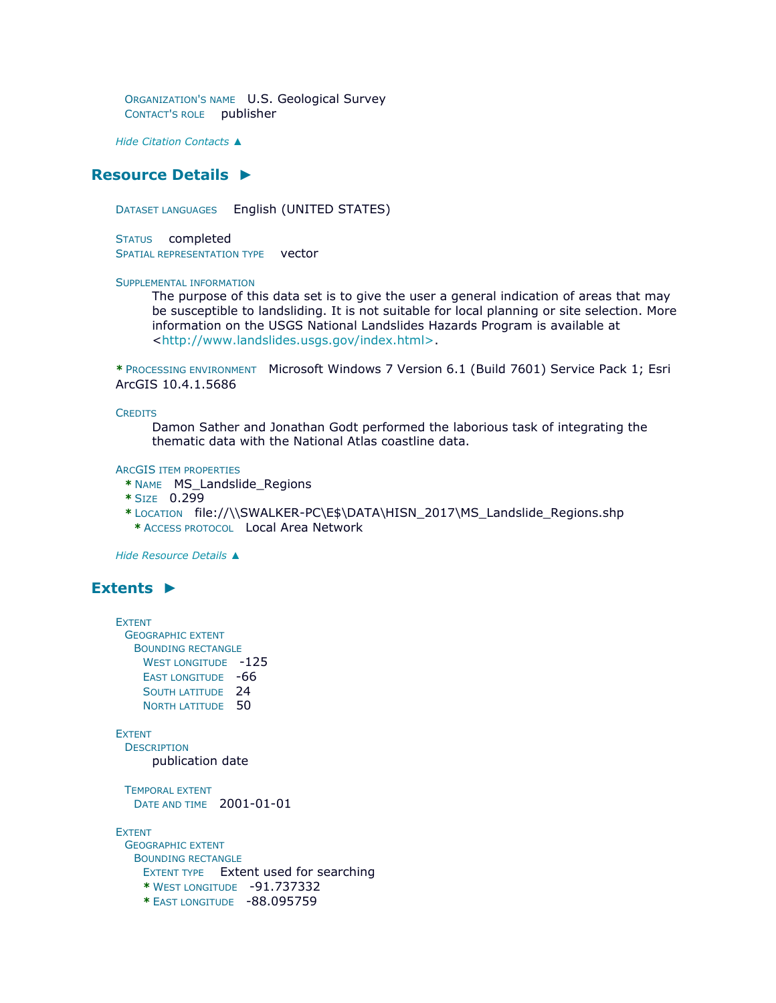ORGANIZATION'S NAME U.S. Geological Survey CONTACT'S ROLE publisher

*Hide [Citation Contacts](file:///C:/Users/swalker.IHL/AppData/Local/Temp/tmp1178.tmp.htm%23ID0EETGA) ▲*

## **[Resource Details](file:///C:/Users/swalker.IHL/AppData/Local/Temp/tmp1178.tmp.htm%23ID0EECHQA) ►**

DATASET LANGUAGES English (UNITED STATES)

STATUS completed SPATIAL REPRESENTATION TYPE vector

#### SUPPLEMENTAL INFORMATION

The purpose of this data set is to give the user a general indication of areas that may be susceptible to landsliding. It is not suitable for local planning or site selection. More information on the USGS National Landslides Hazards Program is available at [<http://www.landslides.usgs.gov/index.html>.](http://www.landslides.usgs.gov/index.html%3e)

**\*** PROCESSING ENVIRONMENT Microsoft Windows 7 Version 6.1 (Build 7601) Service Pack 1; Esri ArcGIS 10.4.1.5686

**CREDITS** 

Damon Sather and Jonathan Godt performed the laborious task of integrating the thematic data with the National Atlas coastline data.

ARCGIS ITEM PROPERTIES

- **\*** NAME MS\_Landslide\_Regions
- **\*** SIZE 0.299
- **\*** LOCATION file://\\SWALKER-PC\E\$\DATA\HISN\_2017\MS\_Landslide\_Regions.shp **\*** ACCESS PROTOCOL Local Area Network

*Hide [Resource Details](file:///C:/Users/swalker.IHL/AppData/Local/Temp/tmp1178.tmp.htm%23ID0EECHQA) ▲*

### **[Extents](file:///C:/Users/swalker.IHL/AppData/Local/Temp/tmp1178.tmp.htm%23ID0EEBCHQA) ►**

```
EXTENT
 GEOGRAPHIC EXTENT
  BOUNDING RECTANGLE
    WEST LONGITUDE -125
    EAST LONGITUDE -66
    SOUTH LATITUDE 24
    NORTH LATITUDE 50
EXTENT
 DESCRIPTION
     publication date
 TEMPORAL EXTENT
  DATE AND TIME 2001-01-01
EXTENT
 GEOGRAPHIC EXTENT
  BOUNDING RECTANGLE
    EXTENT TYPE Extent used for searching 
    * WEST LONGITUDE -91.737332 
    * EAST LONGITUDE -88.095759
```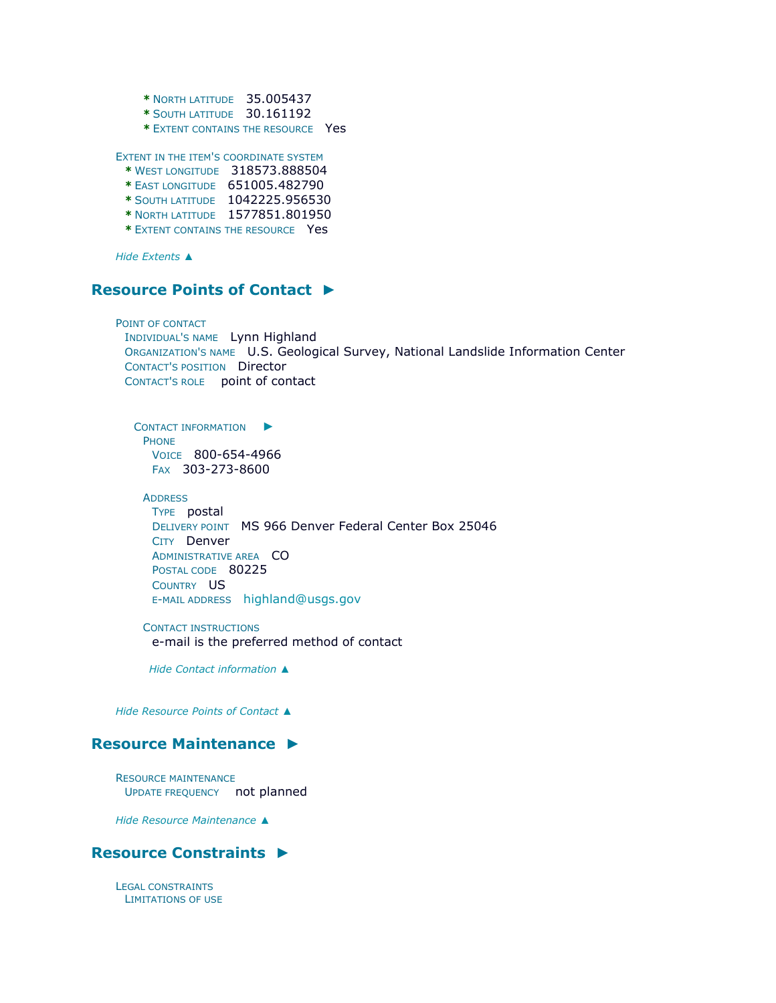**\*** NORTH LATITUDE 35.005437

**\*** SOUTH LATITUDE 30.161192

**\*** EXTENT CONTAINS THE RESOURCE Yes

EXTENT IN THE ITEM'S COORDINATE SYSTEM

- **\*** WEST LONGITUDE 318573.888504
- **\*** EAST LONGITUDE 651005.482790
- **\*** SOUTH LATITUDE 1042225.956530
- **\*** NORTH LATITUDE 1577851.801950
- **\*** EXTENT CONTAINS THE RESOURCE Yes

*Hide [Extents](file:///C:/Users/swalker.IHL/AppData/Local/Temp/tmp1178.tmp.htm%23ID0EEBCHQA) ▲*

## **[Resource Points of Contact](file:///C:/Users/swalker.IHL/AppData/Local/Temp/tmp1178.tmp.htm%23ID0EOGA) ►**

POINT OF CONTACT INDIVIDUAL'S NAME Lynn Highland ORGANIZATION'S NAME U.S. Geological Survey, National Landslide Information Center CONTACT'S POSITION Director CONTACT'S ROLE point of contact

C[ONTACT INFORMATION](file:///C:/Users/swalker.IHL/AppData/Local/Temp/tmp1178.tmp.htm%23ID0EBOGA)  $\blacktriangleright$ PHONE VOICE 800-654-4966 FAX 303-273-8600

**ADDRESS** 

TYPE postal DELIVERY POINT MS 966 Denver Federal Center Box 25046 CITY Denver ADMINISTRATIVE AREA CO POSTAL CODE 80225 COUNTRY US E-MAIL ADDRESS [highland@usgs.gov](mailto:highland@usgs.gov?subject=MS_Landslide_Regions)

CONTACT INSTRUCTIONS e-mail is the preferred method of contact

*Hide [Contact information](file:///C:/Users/swalker.IHL/AppData/Local/Temp/tmp1178.tmp.htm%23ID0EBOGA) ▲*

*Hide [Resource Points of Contact](file:///C:/Users/swalker.IHL/AppData/Local/Temp/tmp1178.tmp.htm%23ID0EOGA) ▲*

### **[Resource Maintenance](file:///C:/Users/swalker.IHL/AppData/Local/Temp/tmp1178.tmp.htm%23ID0ENGA) ►**

RESOURCE MAINTENANCE UPDATE FREQUENCY not planned

*Hide [Resource Maintenance](file:///C:/Users/swalker.IHL/AppData/Local/Temp/tmp1178.tmp.htm%23ID0ENGA) ▲*

### **[Resource Constraints](file:///C:/Users/swalker.IHL/AppData/Local/Temp/tmp1178.tmp.htm%23ID0EJGA) ►**

LEGAL CONSTRAINTS LIMITATIONS OF USE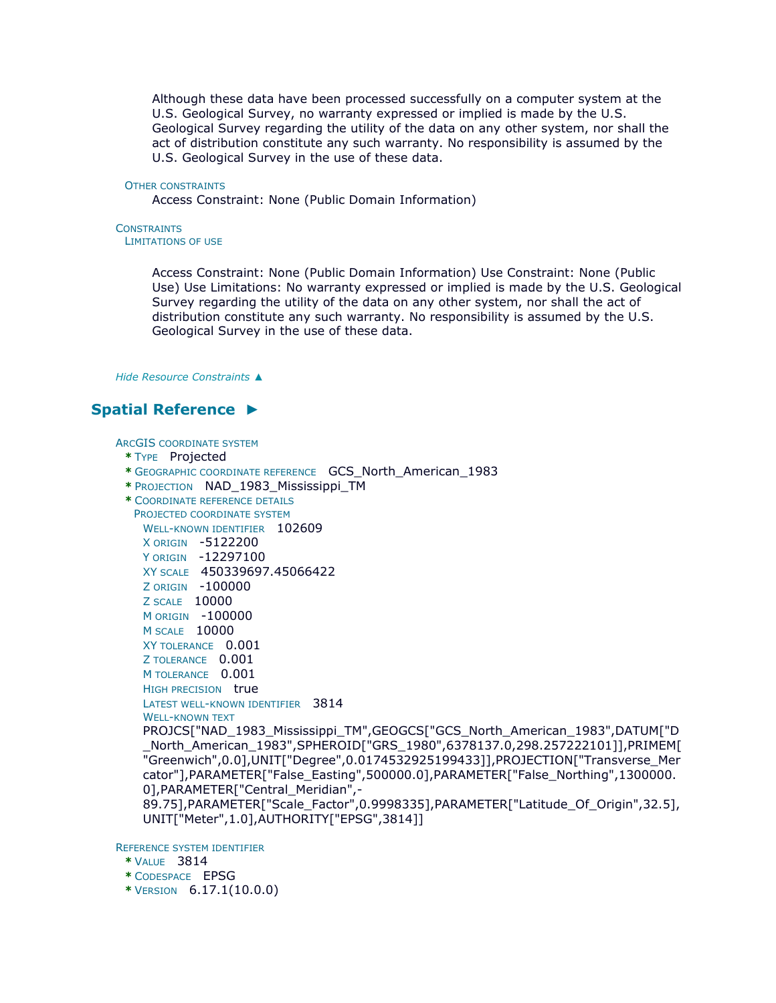Although these data have been processed successfully on a computer system at the U.S. Geological Survey, no warranty expressed or implied is made by the U.S. Geological Survey regarding the utility of the data on any other system, nor shall the act of distribution constitute any such warranty. No responsibility is assumed by the U.S. Geological Survey in the use of these data.

#### OTHER CONSTRAINTS

Access Constraint: None (Public Domain Information)

#### **CONSTRAINTS** LIMITATIONS OF USE

Access Constraint: None (Public Domain Information) Use Constraint: None (Public Use) Use Limitations: No warranty expressed or implied is made by the U.S. Geological Survey regarding the utility of the data on any other system, nor shall the act of distribution constitute any such warranty. No responsibility is assumed by the U.S. Geological Survey in the use of these data.

*Hide [Resource Constraints](file:///C:/Users/swalker.IHL/AppData/Local/Temp/tmp1178.tmp.htm%23ID0EJGA) ▲*

**\*** VERSION 6.17.1(10.0.0)

## **[Spatial Reference](file:///C:/Users/swalker.IHL/AppData/Local/Temp/tmp1178.tmp.htm%23ID0EEBHQA) ►**

```
ARCGIS COORDINATE SYSTEM
 * TYPE Projected 
 * GEOGRAPHIC COORDINATE REFERENCE GCS_North_American_1983 
 * PROJECTION NAD_1983_Mississippi_TM 
 * COORDINATE REFERENCE DETAILS
  PROJECTED COORDINATE SYSTEM
    WELL-KNOWN IDENTIFIER 102609
    X ORIGIN -5122200 
    Y ORIGIN -12297100 
    XY SCALE 450339697.45066422 
    Z ORIGIN -100000 
    Z SCALE 10000 
    M ORIGIN -100000 
    M SCALE 10000 
    XY TOLERANCE 0.001 
    Z TOLERANCE 0.001 
    M TOLERANCE 0.001
    HIGH PRECISION true
    LATEST WELL-KNOWN IDENTIFIER 3814 
    WELL-KNOWN TEXT
    PROJCS["NAD_1983_Mississippi_TM",GEOGCS["GCS_North_American_1983",DATUM["D
    _North_American_1983",SPHEROID["GRS_1980",6378137.0,298.257222101]],PRIMEM[
    "Greenwich",0.0],UNIT["Degree",0.0174532925199433]],PROJECTION["Transverse_Mer
    cator"],PARAMETER["False_Easting",500000.0],PARAMETER["False_Northing",1300000.
    0],PARAMETER["Central_Meridian",-
    89.75],PARAMETER["Scale_Factor",0.9998335],PARAMETER["Latitude_Of_Origin",32.5],
    UNIT["Meter",1.0],AUTHORITY["EPSG",3814]]
REFERENCE SYSTEM IDENTIFIER
 * VALUE 3814 
 * CODESPACE EPSG
```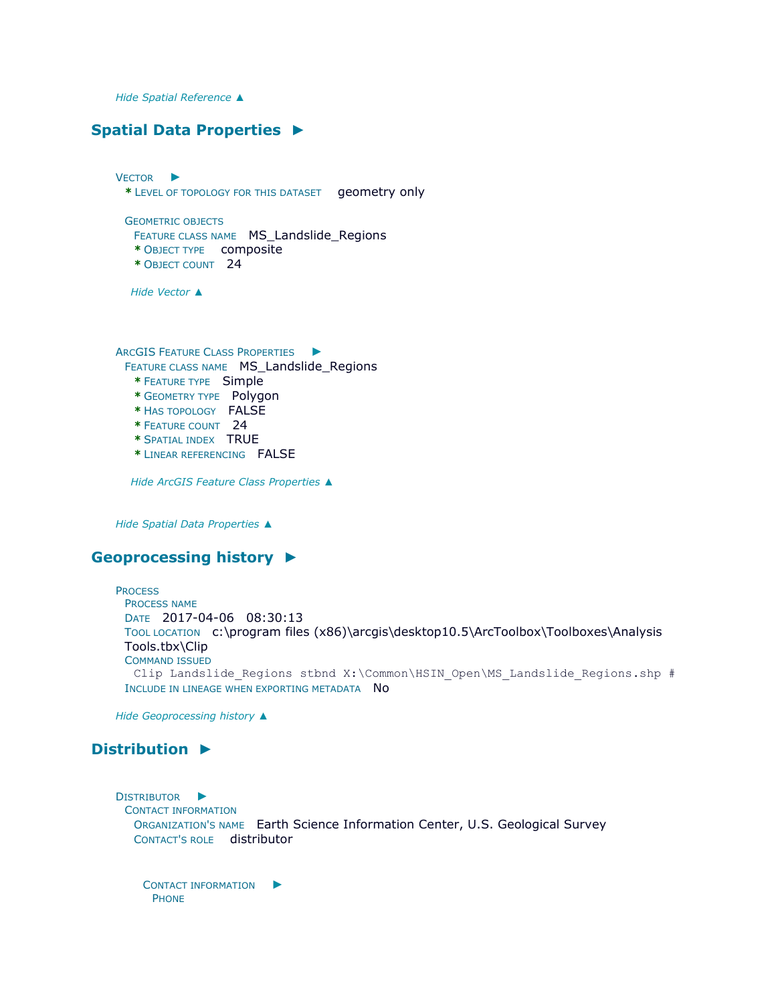*Hide [Spatial Reference](file:///C:/Users/swalker.IHL/AppData/Local/Temp/tmp1178.tmp.htm%23ID0EEBHQA) ▲*

## **[Spatial Data Properties](file:///C:/Users/swalker.IHL/AppData/Local/Temp/tmp1178.tmp.htm%23ID0EAEA) ►**

V[ECTOR](file:///C:/Users/swalker.IHL/AppData/Local/Temp/tmp1178.tmp.htm%23ID0EBAEA) ► **\*** LEVEL OF TOPOLOGY FOR THIS DATASET geometry only GEOMETRIC OBJECTS FEATURE CLASS NAME MS\_Landslide\_Regions

- **\*** OBJECT TYPE composite
- **\*** OBJECT COUNT 24

*Hide [Vector](file:///C:/Users/swalker.IHL/AppData/Local/Temp/tmp1178.tmp.htm%23ID0EBAEA) ▲*

ARCGIS FEATURE CLASS P[ROPERTIES](file:///C:/Users/swalker.IHL/AppData/Local/Temp/tmp1178.tmp.htm%23ID0EA) ► FEATURE CLASS NAME MS\_Landslide\_Regions **\*** FEATURE TYPE Simple

- **\*** GEOMETRY TYPE Polygon
- **\*** HAS TOPOLOGY FALSE
- **\*** FEATURE COUNT 24
- **\*** SPATIAL INDEX TRUE
- **\*** LINEAR REFERENCING FALSE

*Hide [ArcGIS Feature Class Properties](file:///C:/Users/swalker.IHL/AppData/Local/Temp/tmp1178.tmp.htm%23ID0EA) ▲*

*Hide [Spatial Data Properties](file:///C:/Users/swalker.IHL/AppData/Local/Temp/tmp1178.tmp.htm%23ID0EAEA) ▲*

## **[Geoprocessing history](file:///C:/Users/swalker.IHL/AppData/Local/Temp/tmp1178.tmp.htm%23ID0EAHQA) ►**

**PROCESS** PROCESS NAME DATE 2017-04-06 08:30:13 TOOL LOCATION c:\program files (x86)\arcgis\desktop10.5\ArcToolbox\Toolboxes\Analysis Tools.tbx\Clip COMMAND ISSUED Clip Landslide Regions stbnd X:\Common\HSIN Open\MS Landslide Regions.shp # INCLUDE IN LINEAGE WHEN EXPORTING METADATA NO

*Hide [Geoprocessing history](file:///C:/Users/swalker.IHL/AppData/Local/Temp/tmp1178.tmp.htm%23ID0EAHQA) ▲*

## **[Distribution](file:///C:/Users/swalker.IHL/AppData/Local/Temp/tmp1178.tmp.htm%23ID0EHA) ►**

D[ISTRIBUTOR](file:///C:/Users/swalker.IHL/AppData/Local/Temp/tmp1178.tmp.htm%23ID0EGCHA) ► CONTACT INFORMATION ORGANIZATION'S NAME Earth Science Information Center, U.S. Geological Survey CONTACT'S ROLE distributor

C[ONTACT INFORMATION](file:///C:/Users/swalker.IHL/AppData/Local/Temp/tmp1178.tmp.htm%23ID0EBGCHA)  $\blacktriangleright$ PHONE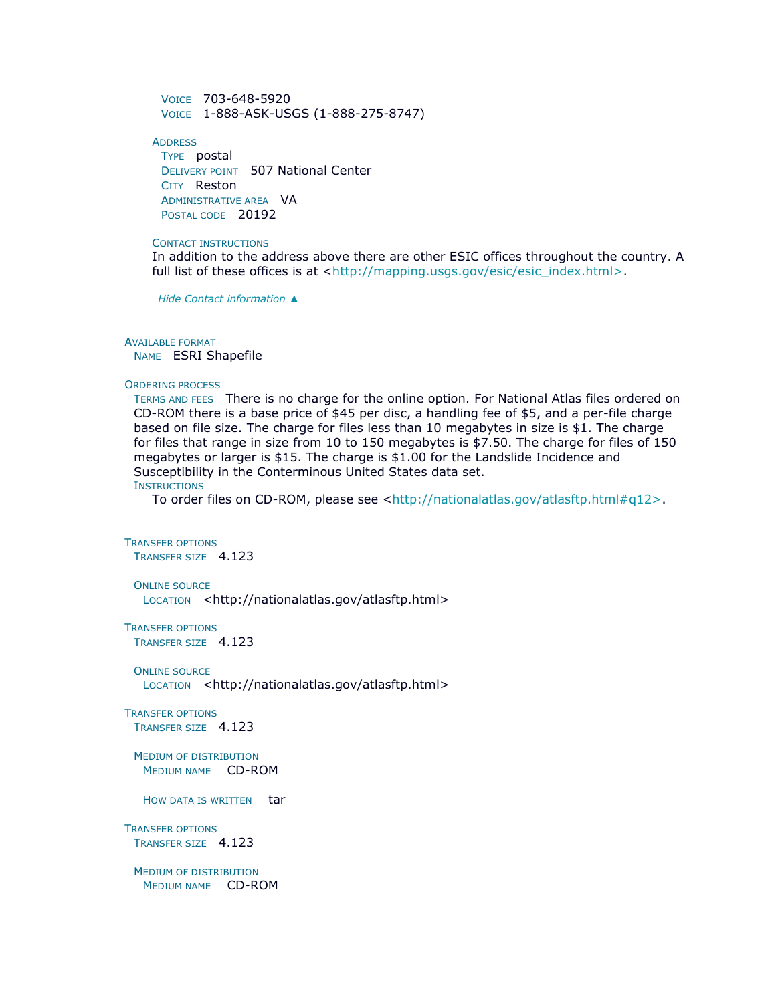VOICE 703-648-5920 VOICE 1-888-ASK-USGS (1-888-275-8747)

**ADDRESS** TYPE postal DELIVERY POINT 507 National Center CITY Reston ADMINISTRATIVE AREA VA POSTAL CODE 20192

#### CONTACT INSTRUCTIONS

In addition to the address above there are other ESIC offices throughout the country. A full list of these offices is at [<http://mapping.usgs.gov/esic/esic\\_index.html>.](http://mapping.usgs.gov/esic/esic_index.html%3e)

*Hide [Contact information](file:///C:/Users/swalker.IHL/AppData/Local/Temp/tmp1178.tmp.htm%23ID0EBGCHA) ▲*

#### AVAILABLE FORMAT

NAME ESRI Shapefile

#### ORDERING PROCESS

TERMS AND FEES There is no charge for the online option. For National Atlas files ordered on CD-ROM there is a base price of \$45 per disc, a handling fee of \$5, and a per-file charge based on file size. The charge for files less than 10 megabytes in size is \$1. The charge for files that range in size from 10 to 150 megabytes is \$7.50. The charge for files of 150 megabytes or larger is \$15. The charge is \$1.00 for the Landslide Incidence and Susceptibility in the Conterminous United States data set.

**INSTRUCTIONS** 

To order files on CD-ROM, please see [<http://nationalatlas.gov/atlasftp.html#q12>.](http://nationalatlas.gov/atlasftp.html#q12>)

```
TRANSFER OPTIONS
 TRANSFER SIZE 4.123
```
ONLINE SOURCE LOCATION <http://nationalatlas.gov/atlasftp.html>

TRANSFER OPTIONS TRANSFER SIZE 4.123

ONLINE SOURCE LOCATION <http://nationalatlas.gov/atlasftp.html>

TRANSFER OPTIONS TRANSFER SIZE 4.123

MEDIUM OF DISTRIBUTION MEDIUM NAME CD-ROM

HOW DATA IS WRITTEN tar

TRANSFER OPTIONS TRANSFER SIZE 4.123

MEDIUM OF DISTRIBUTION MEDIUM NAME CD-ROM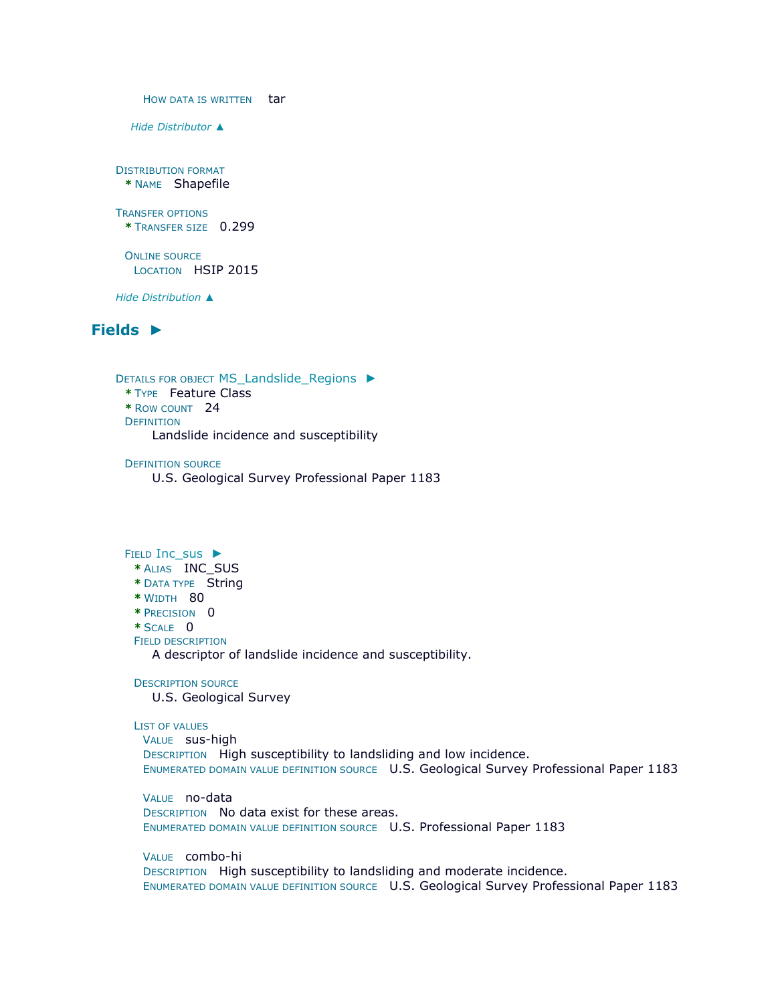HOW DATA IS WRITTEN tar *Hide [Distributor](file:///C:/Users/swalker.IHL/AppData/Local/Temp/tmp1178.tmp.htm%23ID0EGCHA) ▲* DISTRIBUTION FORMAT **\*** NAME Shapefile TRANSFER OPTIONS **\*** TRANSFER SIZE 0.299 ONLINE SOURCE LOCATION HSIP 2015 *Hide [Distribution](file:///C:/Users/swalker.IHL/AppData/Local/Temp/tmp1178.tmp.htm%23ID0EHA) ▲*

## **[Fields](file:///C:/Users/swalker.IHL/AppData/Local/Temp/tmp1178.tmp.htm%23ID0EDA) ►**

DETAILS FOR OBJECT [MS\\_Landslide\\_Regions](file:///C:/Users/swalker.IHL/AppData/Local/Temp/tmp1178.tmp.htm%23ID0EADA) ► **\*** TYPE Feature Class **\*** ROW COUNT 24 **DEFINITION** Landslide incidence and susceptibility

DEFINITION SOURCE U.S. Geological Survey Professional Paper 1183

### FIELD [Inc\\_sus](file:///C:/Users/swalker.IHL/AppData/Local/Temp/tmp1178.tmp.htm%23ID0EIADA) ►

- **\*** ALIAS INC\_SUS
- **\*** DATA TYPE String
- **\*** WIDTH 80
- **\*** PRECISION 0

**\*** SCALE 0

FIELD DESCRIPTION

A descriptor of landslide incidence and susceptibility.

DESCRIPTION SOURCE

U.S. Geological Survey

### LIST OF VALUES

VALUE sus-high DESCRIPTION High susceptibility to landsliding and low incidence. ENUMERATED DOMAIN VALUE DEFINITION SOURCE U.S. Geological Survey Professional Paper 1183

VALUE no-data DESCRIPTION No data exist for these areas. ENUMERATED DOMAIN VALUE DEFINITION SOURCE U.S. Professional Paper 1183

VALUE combo-hi

DESCRIPTION High susceptibility to landsliding and moderate incidence. ENUMERATED DOMAIN VALUE DEFINITION SOURCE U.S. Geological Survey Professional Paper 1183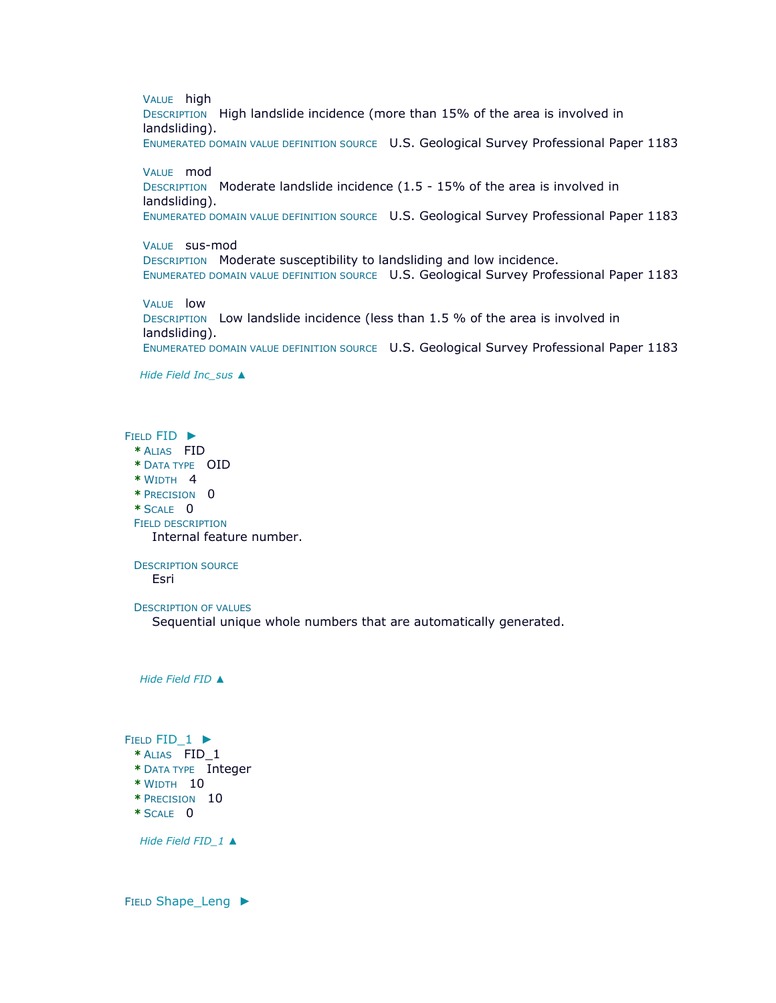VALUE high DESCRIPTION High landslide incidence (more than 15% of the area is involved in landsliding). ENUMERATED DOMAIN VALUE DEFINITION SOURCE U.S. Geological Survey Professional Paper 1183

VALUE mod DESCRIPTION Moderate landslide incidence (1.5 - 15% of the area is involved in landsliding). ENUMERATED DOMAIN VALUE DEFINITION SOURCE U.S. Geological Survey Professional Paper 1183

VALUE sus-mod DESCRIPTION Moderate susceptibility to landsliding and low incidence. ENUMERATED DOMAIN VALUE DEFINITION SOURCE U.S. Geological Survey Professional Paper 1183

VALUE low DESCRIPTION Low landslide incidence (less than 1.5 % of the area is involved in landsliding). ENUMERATED DOMAIN VALUE DEFINITION SOURCE U.S. Geological Survey Professional Paper 1183

*Hide Field [Inc\\_sus](file:///C:/Users/swalker.IHL/AppData/Local/Temp/tmp1178.tmp.htm%23ID0EIADA) ▲*

FIELD [FID](file:///C:/Users/swalker.IHL/AppData/Local/Temp/tmp1178.tmp.htm%23ID0EHADA) ► **\*** ALIAS FID **\*** DATA TYPE OID **\*** WIDTH 4 **\*** PRECISION 0 **\*** SCALE 0 FIELD DESCRIPTION Internal feature number.

DESCRIPTION SOURCE Esri

DESCRIPTION OF VALUES

Sequential unique whole numbers that are automatically generated.

*Hide [Field](file:///C:/Users/swalker.IHL/AppData/Local/Temp/tmp1178.tmp.htm%23ID0EHADA) FID ▲*

FIELD FID 1 ► **\*** ALIAS FID\_1 **\*** DATA TYPE Integer **\*** WIDTH 10 **\*** PRECISION 10 **\*** SCALE 0

*Hide Field [FID\\_1](file:///C:/Users/swalker.IHL/AppData/Local/Temp/tmp1178.tmp.htm%23ID0EGADA) ▲*

FIELD Shape Leng ►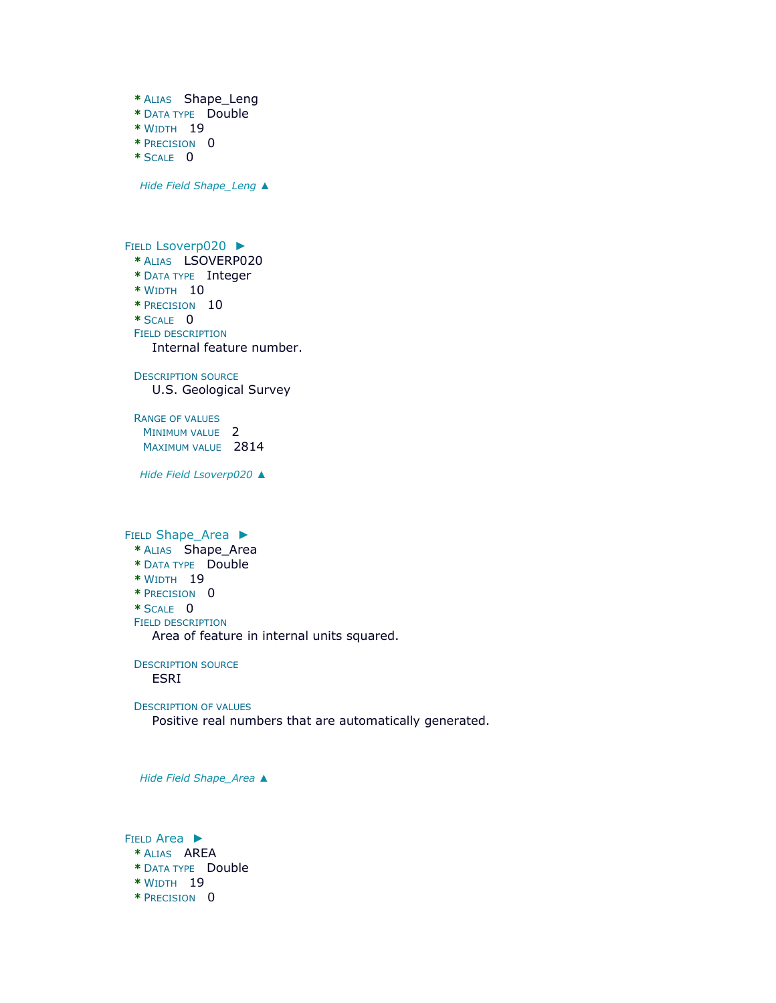**\*** ALIAS Shape\_Leng **\*** DATA TYPE Double **\*** WIDTH 19 **\*** PRECISION 0 **\*** SCALE 0 *Hide Field [Shape\\_Leng](file:///C:/Users/swalker.IHL/AppData/Local/Temp/tmp1178.tmp.htm%23ID0EFADA) ▲* FIELD [Lsoverp020](file:///C:/Users/swalker.IHL/AppData/Local/Temp/tmp1178.tmp.htm%23ID0EEADA) ► **\*** ALIAS LSOVERP020 **\*** DATA TYPE Integer **\*** WIDTH 10 **\*** PRECISION 10 **\*** SCALE 0 FIELD DESCRIPTION Internal feature number. DESCRIPTION SOURCE U.S. Geological Survey RANGE OF VALUES MINIMUM VALUE 2 MAXIMUM VALUE 2814 *Hide Field [Lsoverp020](file:///C:/Users/swalker.IHL/AppData/Local/Temp/tmp1178.tmp.htm%23ID0EEADA) ▲* FIELD [Shape\\_Area](file:///C:/Users/swalker.IHL/AppData/Local/Temp/tmp1178.tmp.htm%23ID0EDADA) ► **\*** ALIAS Shape\_Area **\*** DATA TYPE Double **\*** WIDTH 19 **\*** PRECISION 0 **\*** SCALE 0 FIELD DESCRIPTION Area of feature in internal units squared. DESCRIPTION SOURCE ESRI DESCRIPTION OF VALUES Positive real numbers that are automatically generated.

*Hide Field [Shape\\_Area](file:///C:/Users/swalker.IHL/AppData/Local/Temp/tmp1178.tmp.htm%23ID0EDADA) ▲*

FIELD [Area](file:///C:/Users/swalker.IHL/AppData/Local/Temp/tmp1178.tmp.htm%23ID0ECADA) ► **\*** ALIAS AREA **\*** DATA TYPE Double **\*** WIDTH 19 **\*** PRECISION 0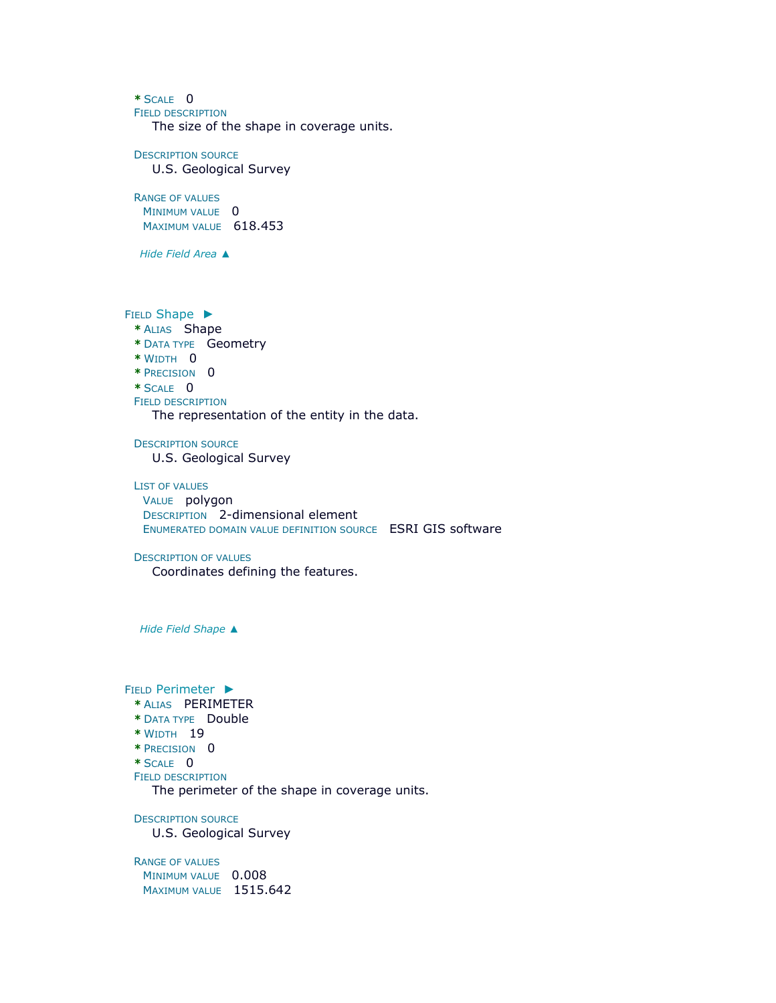**\*** SCALE 0

FIELD DESCRIPTION

The size of the shape in coverage units.

DESCRIPTION SOURCE

U.S. Geological Survey

RANGE OF VALUES

MINIMUM VALUE 0 MAXIMUM VALUE 618.453

*Hide [Field](file:///C:/Users/swalker.IHL/AppData/Local/Temp/tmp1178.tmp.htm%23ID0ECADA) Area ▲*

FIELD [Shape](file:///C:/Users/swalker.IHL/AppData/Local/Temp/tmp1178.tmp.htm%23ID0EBADA) ►

- **\*** ALIAS Shape
- **\*** DATA TYPE Geometry
- **\*** WIDTH 0
- **\*** PRECISION 0
- **\*** SCALE 0
- FIELD DESCRIPTION

The representation of the entity in the data.

DESCRIPTION SOURCE U.S. Geological Survey

LIST OF VALUES VALUE polygon DESCRIPTION 2-dimensional element ENUMERATED DOMAIN VALUE DEFINITION SOURCE ESRI GIS software

#### DESCRIPTION OF VALUES

Coordinates defining the features.

*Hide Field [Shape](file:///C:/Users/swalker.IHL/AppData/Local/Temp/tmp1178.tmp.htm%23ID0EBADA) ▲*

FIELD [Perimeter](file:///C:/Users/swalker.IHL/AppData/Local/Temp/tmp1178.tmp.htm%23ID0EAADA) ►

- **\*** ALIAS PERIMETER
- **\*** DATA TYPE Double
- **\*** WIDTH 19
- **\*** PRECISION 0
- **\*** SCALE 0
- FIELD DESCRIPTION

The perimeter of the shape in coverage units.

DESCRIPTION SOURCE U.S. Geological Survey

RANGE OF VALUES MINIMUM VALUE 0.008 MAXIMUM VALUE 1515.642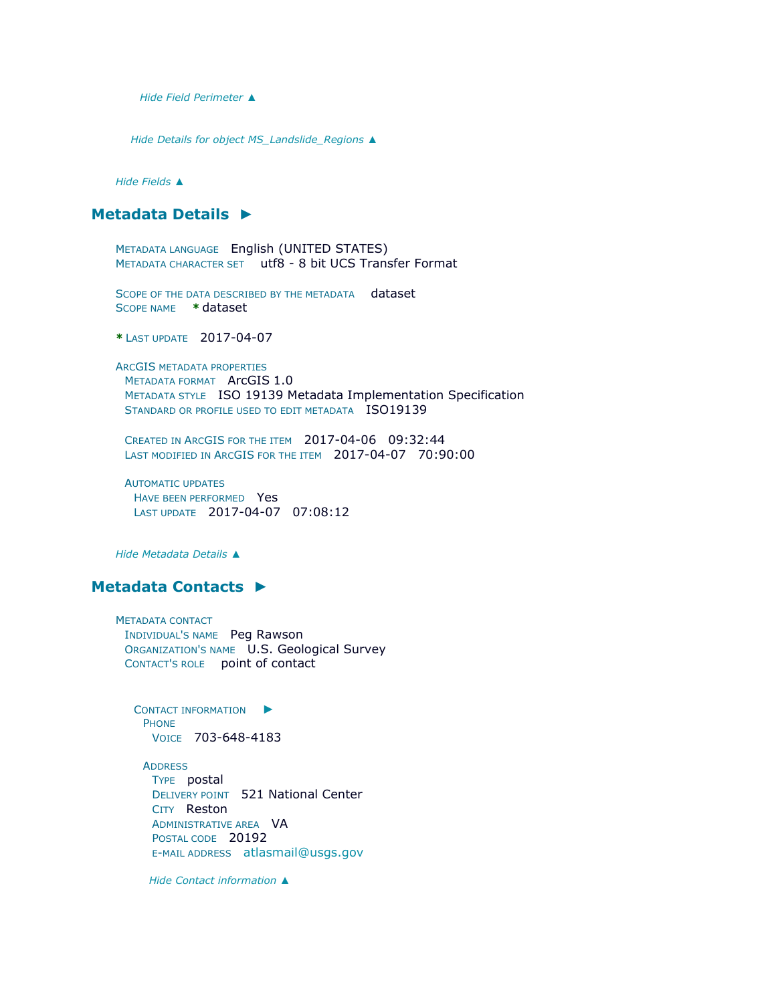*Hide Field [Perimeter](file:///C:/Users/swalker.IHL/AppData/Local/Temp/tmp1178.tmp.htm%23ID0EAADA) ▲*

*Hide Details for object [MS\\_Landslide\\_Regions](file:///C:/Users/swalker.IHL/AppData/Local/Temp/tmp1178.tmp.htm%23ID0EADA) ▲*

*Hide [Fields](file:///C:/Users/swalker.IHL/AppData/Local/Temp/tmp1178.tmp.htm%23ID0EDA) ▲*

## **[Metadata Details](file:///C:/Users/swalker.IHL/AppData/Local/Temp/tmp1178.tmp.htm%23ID0TALQA) ►**

METADATA LANGUAGE English (UNITED STATES) METADATA CHARACTER SET utf8 - 8 bit UCS Transfer Format

SCOPE OF THE DATA DESCRIBED BY THE METADATA dataset SCOPE NAME **\*** dataset

**\*** LAST UPDATE 2017-04-07

ARCGIS METADATA PROPERTIES METADATA FORMAT ArcGIS 1.0 METADATA STYLE ISO 19139 Metadata Implementation Specification STANDARD OR PROFILE USED TO EDIT METADATA ISO19139

CREATED IN ARCGIS FOR THE ITEM 2017-04-06 09:32:44 LAST MODIFIED IN ARCGIS FOR THE ITEM 2017-04-07 70:90:00

AUTOMATIC UPDATES HAVE BEEN PERFORMED Yes LAST UPDATE 2017-04-07 07:08:12

*Hide [Metadata Details](file:///C:/Users/swalker.IHL/AppData/Local/Temp/tmp1178.tmp.htm%23ID0TALQA) ▲*

## **[Metadata Contacts](file:///C:/Users/swalker.IHL/AppData/Local/Temp/tmp1178.tmp.htm%23ID0ELA) ►**

METADATA CONTACT INDIVIDUAL'S NAME Peg Rawson ORGANIZATION'S NAME U.S. Geological Survey CONTACT'S ROLE point of contact

C[ONTACT INFORMATION](file:///C:/Users/swalker.IHL/AppData/Local/Temp/tmp1178.tmp.htm%23ID0EBLA)  $\blacktriangleright$ PHONE VOICE 703-648-4183

**ADDRESS** TYPE postal DELIVERY POINT 521 National Center CITY Reston ADMINISTRATIVE AREA VA POSTAL CODE 20192 E-MAIL ADDRESS [atlasmail@usgs.gov](mailto:atlasmail@usgs.gov?subject=MS_Landslide_Regions)

*Hide [Contact information](file:///C:/Users/swalker.IHL/AppData/Local/Temp/tmp1178.tmp.htm%23ID0EBLA) ▲*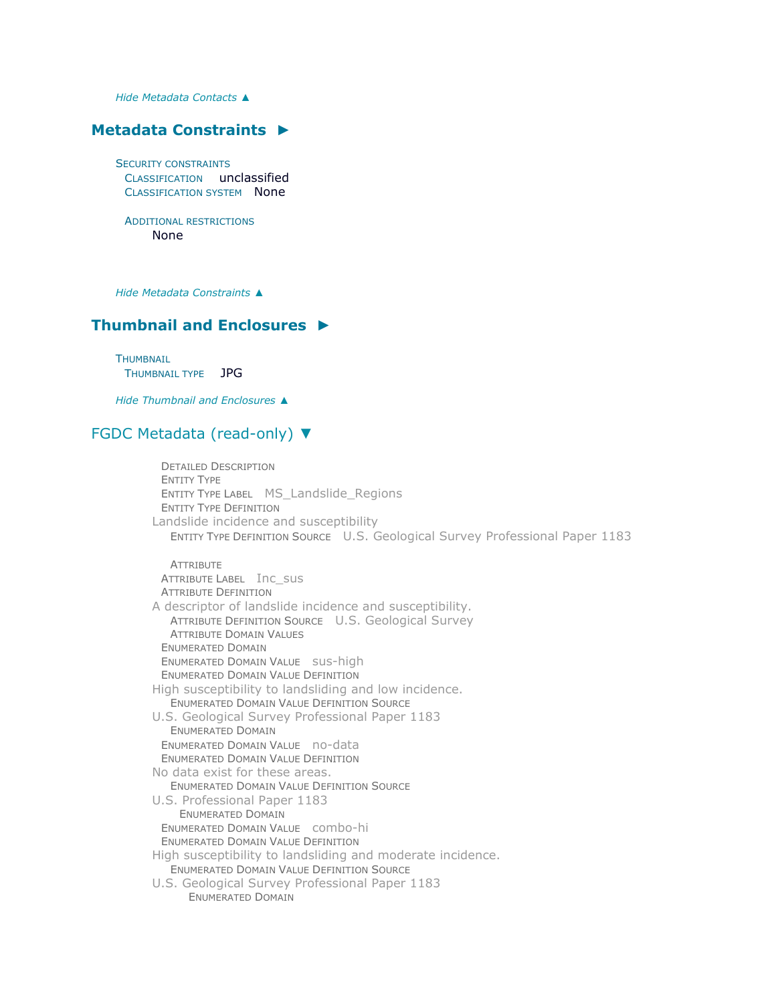*Hide [Metadata Contacts](file:///C:/Users/swalker.IHL/AppData/Local/Temp/tmp1178.tmp.htm%23ID0ELA) ▲*

### **[Metadata Constraints](file:///C:/Users/swalker.IHL/AppData/Local/Temp/tmp1178.tmp.htm%23ID0EFA) ►**

SECURITY CONSTRAINTS CLASSIFICATION unclassified CLASSIFICATION SYSTEM None

ADDITIONAL RESTRICTIONS None

*Hide [Metadata Constraints](file:///C:/Users/swalker.IHL/AppData/Local/Temp/tmp1178.tmp.htm%23ID0EFA) ▲*

## **[Thumbnail and Enclosures](file:///C:/Users/swalker.IHL/AppData/Local/Temp/tmp1178.tmp.htm%23ID0EPA) ►**

**THUMBNAIL** THUMBNAIL TYPE JPG

*Hide [Thumbnail and Enclosures](file:///C:/Users/swalker.IHL/AppData/Local/Temp/tmp1178.tmp.htm%23ID0EPA) ▲*

## [FGDC Metadata \(read-only\)](file:///C:/Users/swalker.IHL/AppData/Local/Temp/tmp1178.tmp.htm%23fgdcMetadata) ▼

DETAILED DESCRIPTION ENTITY TYPE ENTITY TYPE LABEL MS\_Landslide\_Regions ENTITY TYPE DEFINITION Landslide incidence and susceptibility ENTITY TYPE DEFINITION SOURCE U.S. Geological Survey Professional Paper 1183 **ATTRIBUTE** ATTRIBUTE LABEL Inc\_sus ATTRIBUTE DEFINITION A descriptor of landslide incidence and susceptibility. ATTRIBUTE DEFINITION SOURCE U.S. Geological Survey ATTRIBUTE DOMAIN VALUES ENUMERATED DOMAIN ENUMERATED DOMAIN VALUE sus-high ENUMERATED DOMAIN VALUE DEFINITION High susceptibility to landsliding and low incidence. ENUMERATED DOMAIN VALUE DEFINITION SOURCE U.S. Geological Survey Professional Paper 1183 ENUMERATED DOMAIN ENUMERATED DOMAIN VALUE no-data ENUMERATED DOMAIN VALUE DEFINITION No data exist for these areas. ENUMERATED DOMAIN VALUE DEFINITION SOURCE U.S. Professional Paper 1183 ENUMERATED DOMAIN ENUMERATED DOMAIN VALUE combo-hi ENUMERATED DOMAIN VALUE DEFINITION High susceptibility to landsliding and moderate incidence. ENUMERATED DOMAIN VALUE DEFINITION SOURCE U.S. Geological Survey Professional Paper 1183 ENUMERATED DOMAIN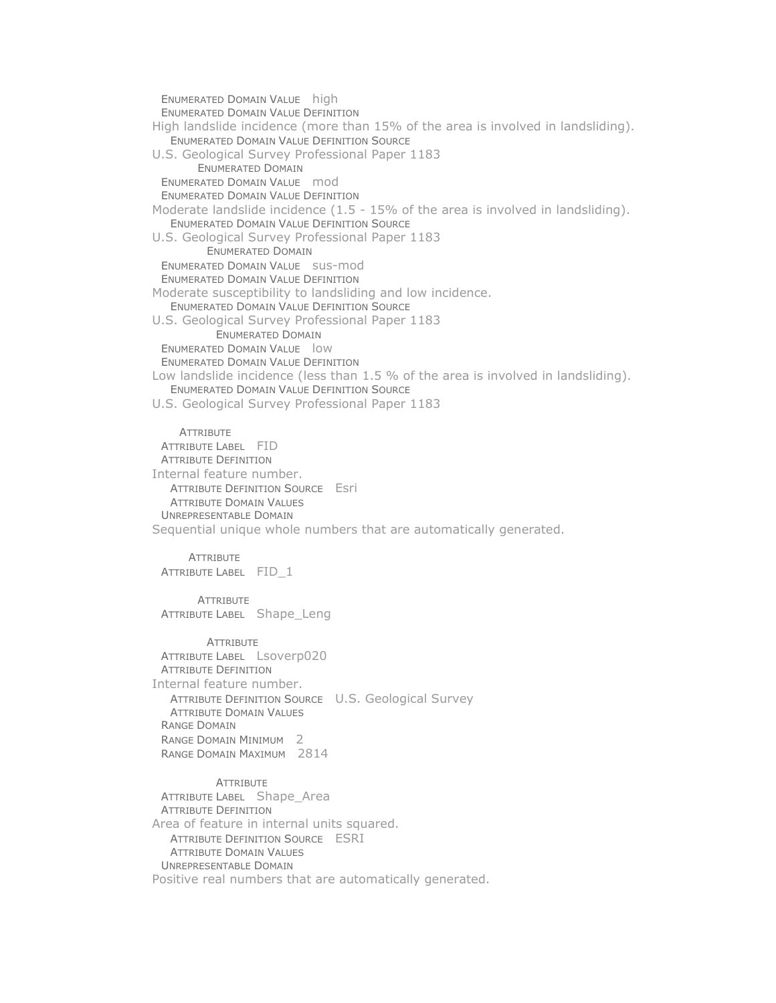ENUMERATED DOMAIN VALUE high ENUMERATED DOMAIN VALUE DEFINITION High landslide incidence (more than 15% of the area is involved in landsliding). ENUMERATED DOMAIN VALUE DEFINITION SOURCE U.S. Geological Survey Professional Paper 1183 ENUMERATED DOMAIN ENUMERATED DOMAIN VALUE mod ENUMERATED DOMAIN VALUE DEFINITION Moderate landslide incidence (1.5 - 15% of the area is involved in landsliding). ENUMERATED DOMAIN VALUE DEFINITION SOURCE U.S. Geological Survey Professional Paper 1183 ENUMERATED DOMAIN ENUMERATED DOMAIN VALUE sus-mod ENUMERATED DOMAIN VALUE DEFINITION Moderate susceptibility to landsliding and low incidence. ENUMERATED DOMAIN VALUE DEFINITION SOURCE U.S. Geological Survey Professional Paper 1183 ENUMERATED DOMAIN ENUMERATED DOMAIN VALUE low ENUMERATED DOMAIN VALUE DEFINITION Low landslide incidence (less than 1.5 % of the area is involved in landsliding). ENUMERATED DOMAIN VALUE DEFINITION SOURCE U.S. Geological Survey Professional Paper 1183 **ATTRIBUTE** ATTRIBUTE LABEL FID ATTRIBUTE DEFINITION Internal feature number. ATTRIBUTE DEFINITION SOURCE Esri ATTRIBUTE DOMAIN VALUES UNREPRESENTABLE DOMAIN Sequential unique whole numbers that are automatically generated. **ATTRIBUTE** ATTRIBUTE LABEL FID\_1 **ATTRIBUTE** ATTRIBUTE LABEL Shape Leng **ATTRIBUTE** ATTRIBUTE LABEL Lsoverp020 ATTRIBUTE DEFINITION Internal feature number. ATTRIBUTE DEFINITION SOURCE U.S. Geological Survey ATTRIBUTE DOMAIN VALUES RANGE DOMAIN RANGE DOMAIN MINIMUM 2 RANGE DOMAIN MAXIMUM 2814 **ATTRIBUTE** ATTRIBUTE LABEL Shape\_Area ATTRIBUTE DEFINITION Area of feature in internal units squared. ATTRIBUTE DEFINITION SOURCE ESRI

ATTRIBUTE DOMAIN VALUES UNREPRESENTABLE DOMAIN

Positive real numbers that are automatically generated.